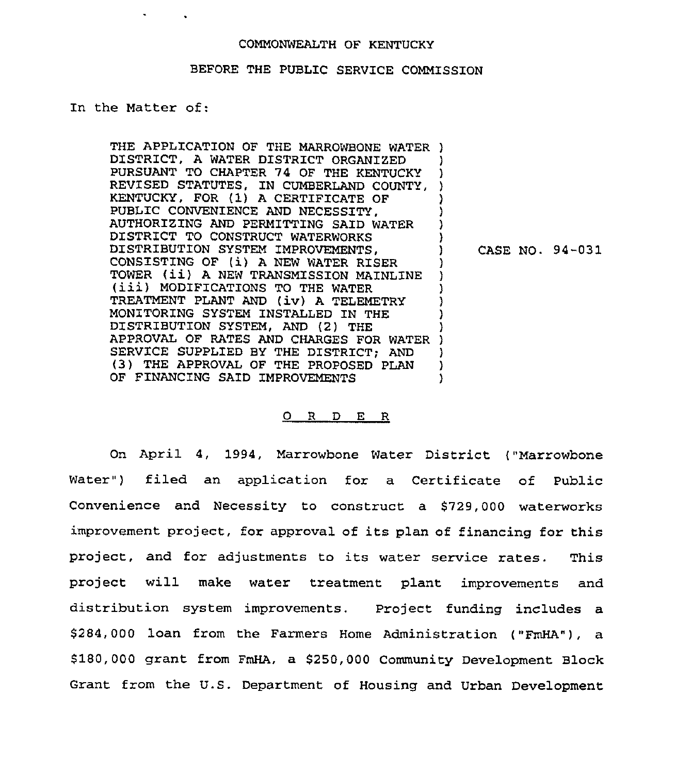#### COMMONWEALTH OF KENTUCKY

## BEFORE THE PUBLIC SERVICE COMMISSION

In the Matter of:

THE APPLICATION OF THE MARROWBONE WATER ) DISTRICT, A WATER DISTRICT ORGANIZED ) PURSUANT TO CHAPTER 74 OF THE KENTUCKY REVISED STATUTES, IN CUMBERLAND COUNTY, ) KENTUCKY, FOR (1) <sup>A</sup> CERTIFICATE OF PUBLIC CONVENIENCE AND NECESSITY, AUTHORIZING AND PERMITTING SAID WATER Y DISTRICT TO CONSTRUCT WATERWORKS DISTRIBUTION SYSTEM IMPROVEMENTS,  $\mathbf{I}$ CASE NO. 94-031 CONSISTING OF (i) <sup>A</sup> NEW WATER RISER ) TOWER (ii) <sup>A</sup> NEW TRANSMISSION MAINLINE (iii) MODIFICATIONS TO THE WATER ) ) TREATMENT PLANT AND (iv) <sup>A</sup> TELEMETRY ) MONITORING SYSTEM INSTALLED IN THE ) DISTRIBUTION SYSTEM. AND (2) THE ) APPROVAL OF RATES AND CHARGES FOR WATER ) SERVICE SUPPLIED BY THE DISTRICT; AND ) (3) THE APPROVAL OF THE PROPOSED PLAN  $\left\{ \begin{array}{c} \lambda \\ \lambda \end{array} \right.$ OF FINANCING SAID IMPROVEMENTS

#### 0 <sup>R</sup> <sup>D</sup> E <sup>R</sup>

On April 4, 1994, Marrowbone Water District ("Marrowbone Water") filed an application for a Certificate of Public Convenience and Necessity to construct a \$729,000 waterworks improvement project, for approval of its plan of financing for this project, and for adjustments to its water service rates. This project will make water treatment plant improvements and distribution system improvements. Project funding includes a \$284,000 loan from the Farmers Home Administration ("FmHA"), a 8180,000 grant from FmHA, a 8250,000 Community Development Block Grant from the U.S. Department of Housing and Urban Development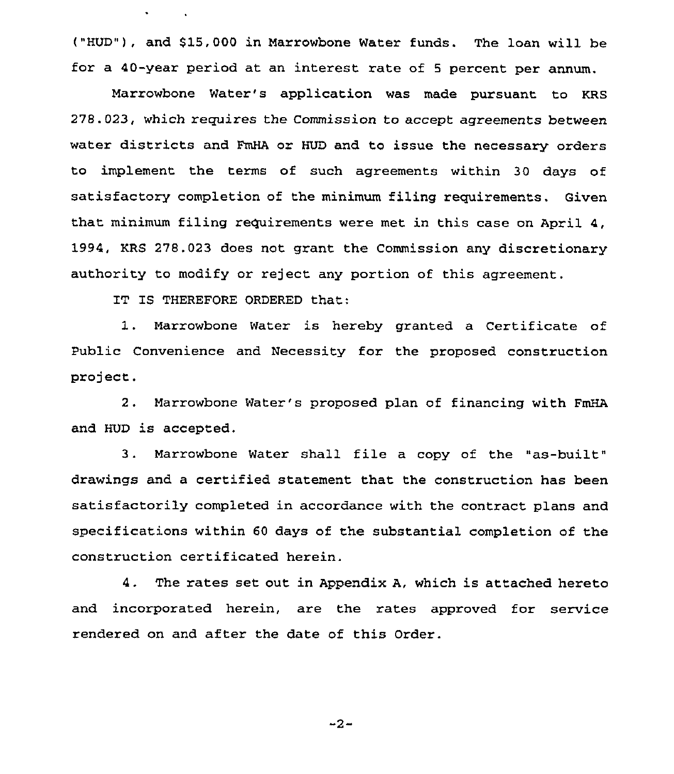("HUD"), and 815,000 in Marrowbone Water funds. The loan will be for a 40-year period at an interest rate of <sup>5</sup> percent per annum.

Marrowbone Water's application was made pursuant to KRS 278.023, which requires the Commission to accept agreements between water districts and FmHA or HUD and to issue the necessary orders to implement the terms of such agreements within 30 days of satisfactory completion of the minimum filing requirements. Given that minimum filing requirements were met in this case on April 4, 1994, KRS 278.023 does not grant the Commission any discretionary authority to modify or reject any portion of this agreement.

IT IS THEREFORE ORDERED that:

1. Marrowbone Water is hereby granted <sup>a</sup> Certificate of Public Convenience and Necessity for the proposed construction project.

<sup>2</sup> . Marrowbone Water's proposed plan of financing with FmHA and HUD is accepted,

<sup>3</sup> . Marrowbone Water shall file a copy of the "as-built" drawings and a certified statement that the construction has been satisfactorily completed in accordance with the contract plans and specifications within 60 days of the substantial completion of the construction certificated herein.

4. The rates set out in Appendix A, which is attached hereto and incorporated herein, are the rates approved for service rendered on and after the date of this Order.

 $-2-$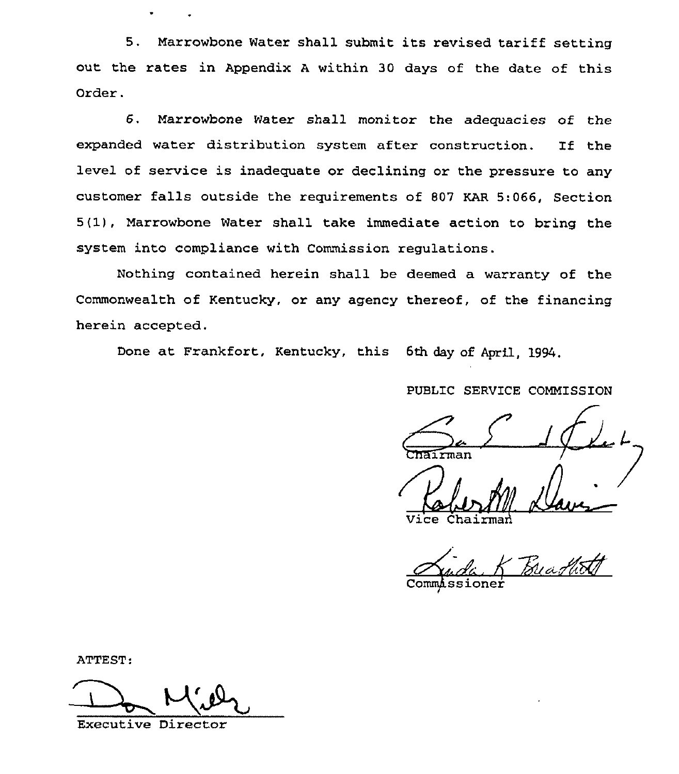5. Marrowbone Water shall submit its revised tariff setting out the rates in Appendix <sup>A</sup> within 30 days of the date of this Order.

6. Marrowbone Water shall monitor the adequacies of the expanded water distribution system after construction. If the level of service is inadequate or declining or the pressure to any customer falls outside the requirements of 807 KAR 5:066, Section 5(1), Marrowbone Water shall take immediate action to bring the system into compliance with Commission regulations.

Nothing contained herein shall be deemed a warranty of the Commonwealth of Kentucky, or any agency thereof, of the financing herein accepted.

Done at Frankfort, Kentucky, this 6th day of April, 1994.

PUBLIC SERVICE COMMISSION

PUBLIC SERVICE COMMISSION<br>
Chairman<br>
(

Vice Chairmari

Commissioner

ATTEST:

Executive Director